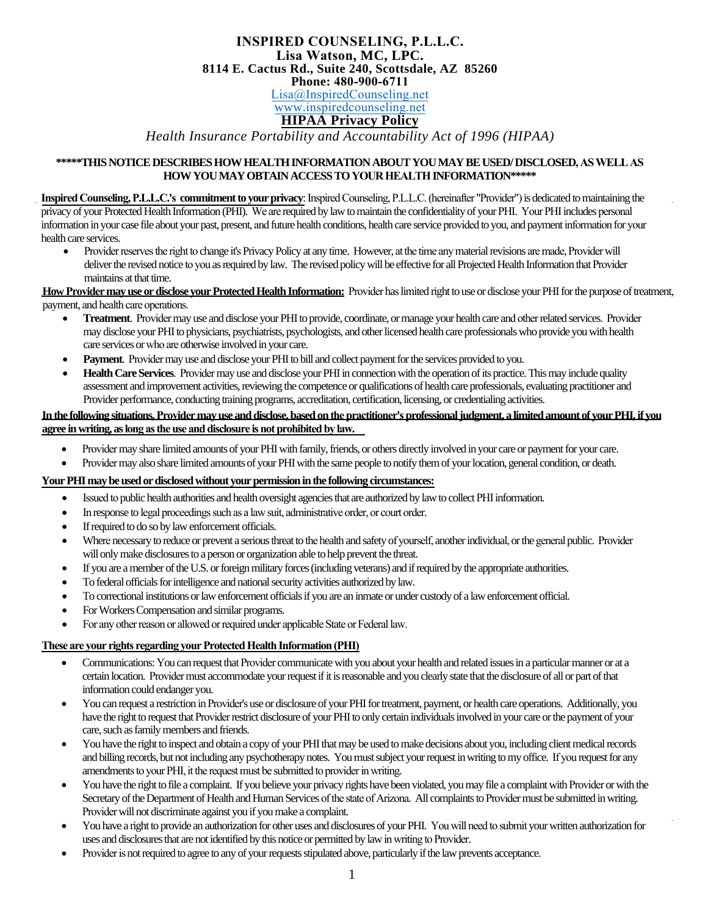### **INSPIRED COUNSELING, P.L.L.C. Lisa Watson, MC, LPC. 8114 E. Cactus Rd., Suite 240, Scottsdale, AZ 85260 Phone: 480-900-6711** Lisa@InspiredCounseling.net www.inspiredcounseling.net

## **HIPAA Privacy Policy**

*Health Insurance Portability and Accountability Act of 1996 (HIPAA)* 

#### **\*\*\*\*\*THIS NOTICE DESCRIBES HOW HEALTH INFORMATION ABOUT YOUMAY BE USED/DISCLOSED, AS WELL AS HOW YOU MAY OBTAINACCESS TOYOUR HEALTH INFORMATION\*\*\*\*\***

**Inspired Counseling, P.L.L.C.'s commitment to your privacy**: Inspired Counseling, P.L.L.C.(hereinafter "Provider") isdedicated to maintaining the privacy of your Protected Health Information (PHI). We are required by lawto maintain the confidentiality of your PHI. Your PHI includes personal information in your case file aboutyour past, present, and future health conditions,health care service provided to you, and payment information for your health care services.

• Provider reserves the right to change it's Privacy Policy at any time. However, at the time any material revisions are made, Providerwill deliver the revised notice to you as required by law. The revised policy will be effective for all Projected Health Information that Provider maintains at that time.

**HowProvider may use ordisclose your Protected HealthInformation:** Provider has limited right to use or disclose your PHI for the purpose of treatment, payment, and health care operations.

- **Treatment**. Provider may use and disclose your PHI to provide, coordinate, or manage your health care and other related services. Provider may disclose yourPHIto physicians, psychiatrists, psychologists, and other licensed health care professionals who provide you with health care services or who are otherwise involved in your care.
- **Payment**. Provider may use and disclose your PHI to bill and collect payment for the services provided to you.
- **Health Care Services**. Provider may use and disclose your PHI in connection with the operation of its practice. This may include quality assessment and improvement activities, reviewing the competence orqualifications of health care professionals, evaluating practitioner and Provider performance, conducting training programs, accreditation, certification, licensing, or credentialing activities.

## **In the following situations, Provider mayuse and disclose, based onthe practitioner's professional judgment, a limited amount of yourPHI, if you agree in writing,aslong as the use and disclosure is not prohibited by law.**

- Provider may share limited amounts of your PHI with family, friends, or others directly involved in your care or payment for your care.
- Provider may also share limited amounts of your PHI with the same people to notify themof your location, general condition, or death.

## **Your PHI may be used or disclosed without your permission inthe following circumstances:**

- Issued to public health authorities and health oversight agencies that are authorized by law to collect PHI information.
- In response to legal proceedings such as a law suit, administrative order, or court order.
- If required to do so by law enforcement officials.
- Where necessary to reduce or prevent a serious threat to the health and safety of yourself, another individual, or the general public. Provider will only make disclosures to a person or organization able to help prevent the threat.
- If you are a member of the U.S. or foreign military forces (including veterans) and if required by the appropriate authorities.
- To federal officials for intelligence and national security activities authorized by law.
- To correctional institutions orlaw enforcement officials if you are an inmate or under custody of a lawenforcement official.
- For Workers Compensation and similar programs.
- For any other reason or allowed or required under applicable State or Federal law.

## **These are your rights regarding your Protected Health Information (PHI)**

- Communications: You can request thatProvider communicate with you about your health and related issues in a particular manner or at a certain location. Provider must accommodate your request if it is reasonable and you clearly state that the disclosure of all or partof that information could endanger you.
- You can request a restriction in Provider's use or disclosure of your PHI for treatment, payment, or health care operations. Additionally, you have the right to request that Provider restrict disclosure of your PHI to only certain individuals involved in your care orthe payment of your care, such as family members and friends.
- You have the right to inspect and obtain a copy of your PHI that may be used to make decisions about you, including client medical records and billing records, but not including any psychotherapy notes. You must subject your request inwriting to my office. If you request for any amendments to your PHI, it the request must be submitted to provider in writing.
- You have the right to file a complaint. If you believe your privacy rights have been violated, you may file a complaint with Provider or with the Secretary of the Department of Health and Human Services of the state of Arizona. All complaints to Provider must be submitted in writing. Provider will not discriminate against you if you make a complaint.
- You have a right to provide an authorization for other uses and disclosures of your PHI. You will need to submit your written authorization for uses and disclosures that are not identified by this notice or permitted by law in writing to Provider.
- Provider is not required to agree to any of your requests stipulated above, particularly if the law prevents acceptance.